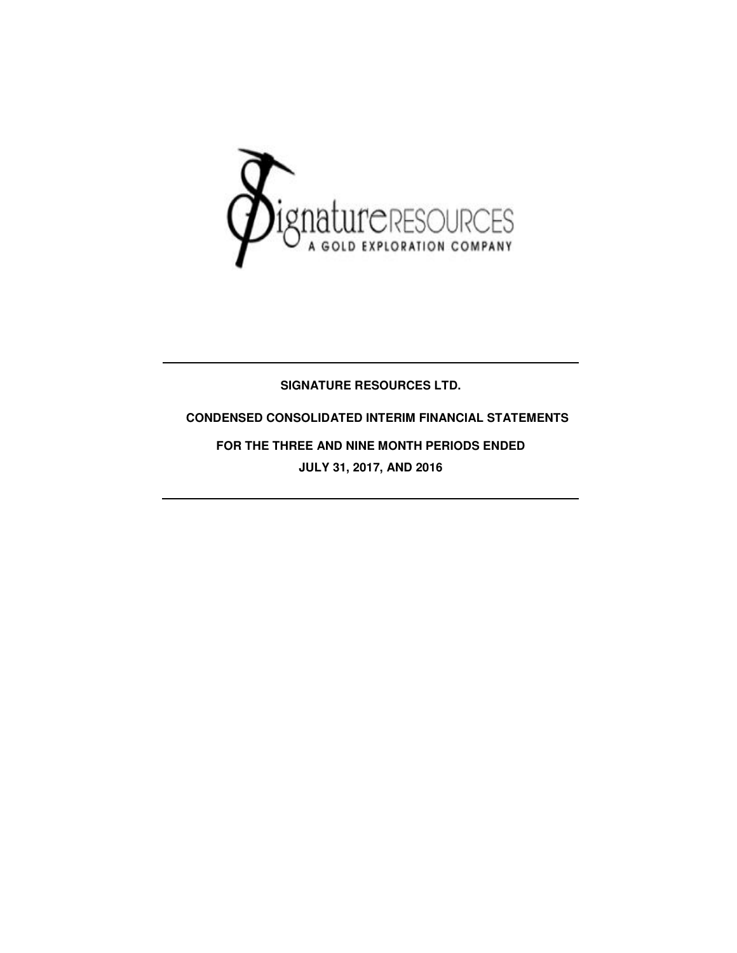

## **SIGNATURE RESOURCES LTD.**

## **CONDENSED CONSOLIDATED INTERIM FINANCIAL STATEMENTS**

**FOR THE THREE AND NINE MONTH PERIODS ENDED JULY 31, 2017, AND 2016**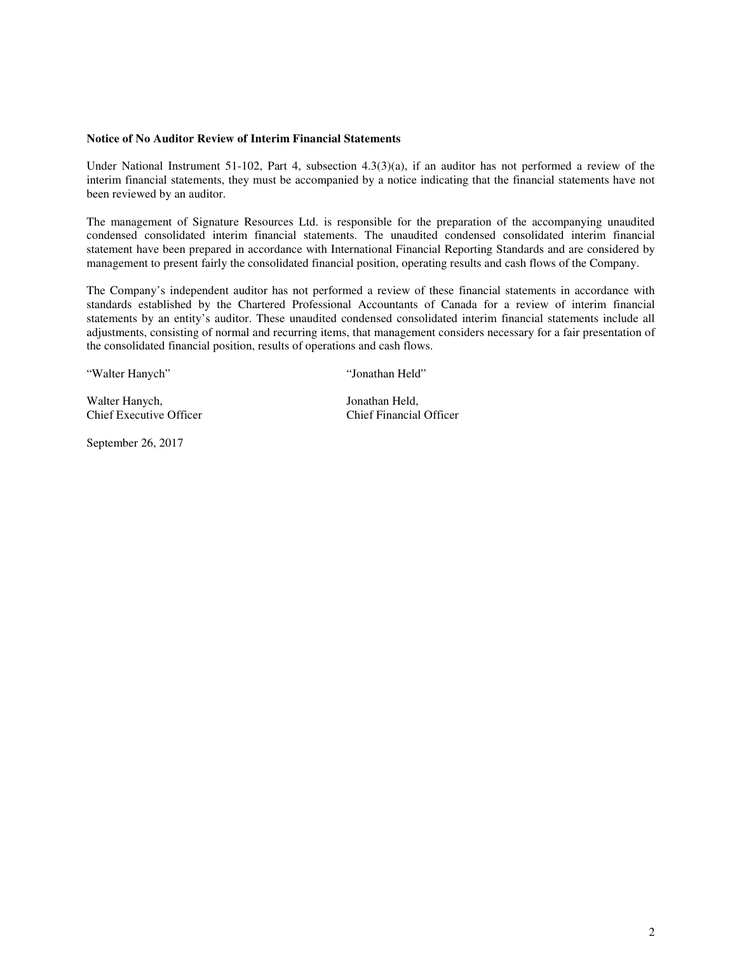#### **Notice of No Auditor Review of Interim Financial Statements**

Under National Instrument 51-102, Part 4, subsection 4.3(3)(a), if an auditor has not performed a review of the interim financial statements, they must be accompanied by a notice indicating that the financial statements have not been reviewed by an auditor.

The management of Signature Resources Ltd. is responsible for the preparation of the accompanying unaudited condensed consolidated interim financial statements. The unaudited condensed consolidated interim financial statement have been prepared in accordance with International Financial Reporting Standards and are considered by management to present fairly the consolidated financial position, operating results and cash flows of the Company.

The Company's independent auditor has not performed a review of these financial statements in accordance with standards established by the Chartered Professional Accountants of Canada for a review of interim financial statements by an entity's auditor. These unaudited condensed consolidated interim financial statements include all adjustments, consisting of normal and recurring items, that management considers necessary for a fair presentation of the consolidated financial position, results of operations and cash flows.

"Walter Hanych" "Jonathan Held"

Walter Hanych, Jonathan Held,<br>
Chief Executive Officer<br>
Chief Financial Officer Chief Executive Officer

September 26, 2017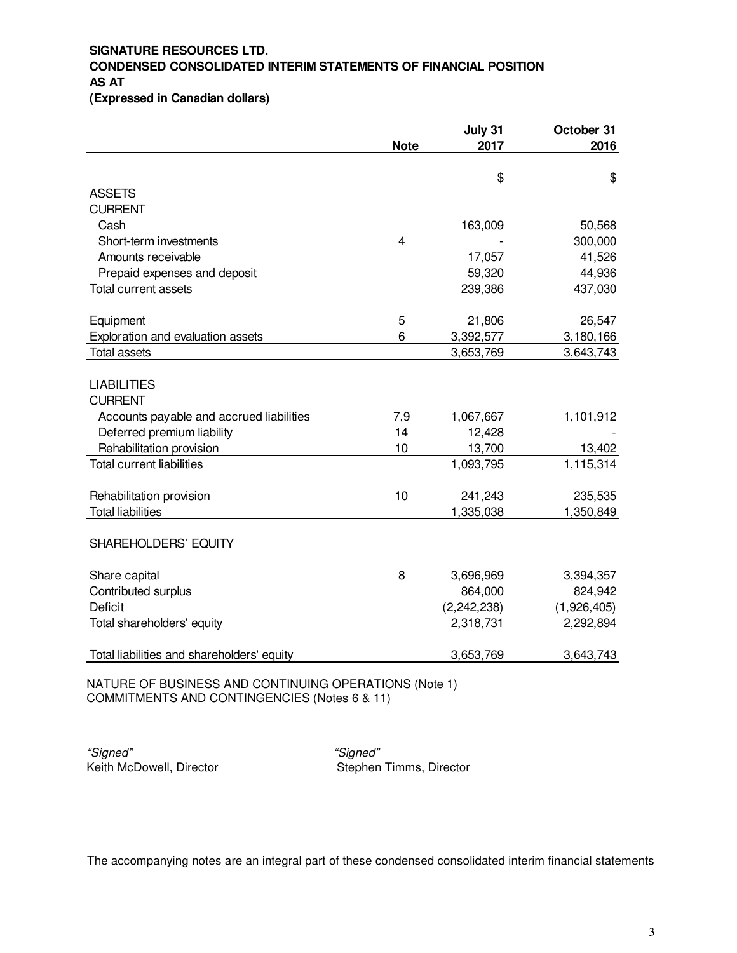# **SIGNATURE RESOURCES LTD. CONDENSED CONSOLIDATED INTERIM STATEMENTS OF FINANCIAL POSITION AS AT**

**(Expressed in Canadian dollars)**

| 2016<br>2017                 |
|------------------------------|
|                              |
|                              |
| \$<br>\$                     |
|                              |
|                              |
| 163,009<br>50,568            |
| 300,000                      |
| 41,526<br>17,057             |
| 44,936<br>59,320             |
| 437,030<br>239,386           |
| 21,806<br>26,547             |
| 3,392,577<br>3,180,166       |
| 3,653,769<br>3,643,743       |
|                              |
| 1,101,912<br>1,067,667       |
| 12,428                       |
| 13,700<br>13,402             |
| 1,115,314<br>1,093,795       |
|                              |
| 241,243<br>235,535           |
| 1,335,038<br>1,350,849       |
|                              |
| 3,696,969<br>3,394,357       |
| 864,000<br>824,942           |
| (2, 242, 238)<br>(1,926,405) |
| 2,292,894<br>2,318,731       |
| 3,653,769<br>3,643,743       |
|                              |

NATURE OF BUSINESS AND CONTINUING OPERATIONS (Note 1) COMMITMENTS AND CONTINGENCIES (Notes 6 & 11)

"Signed" "Signed"

Keith McDowell, Director Stephen Timms, Director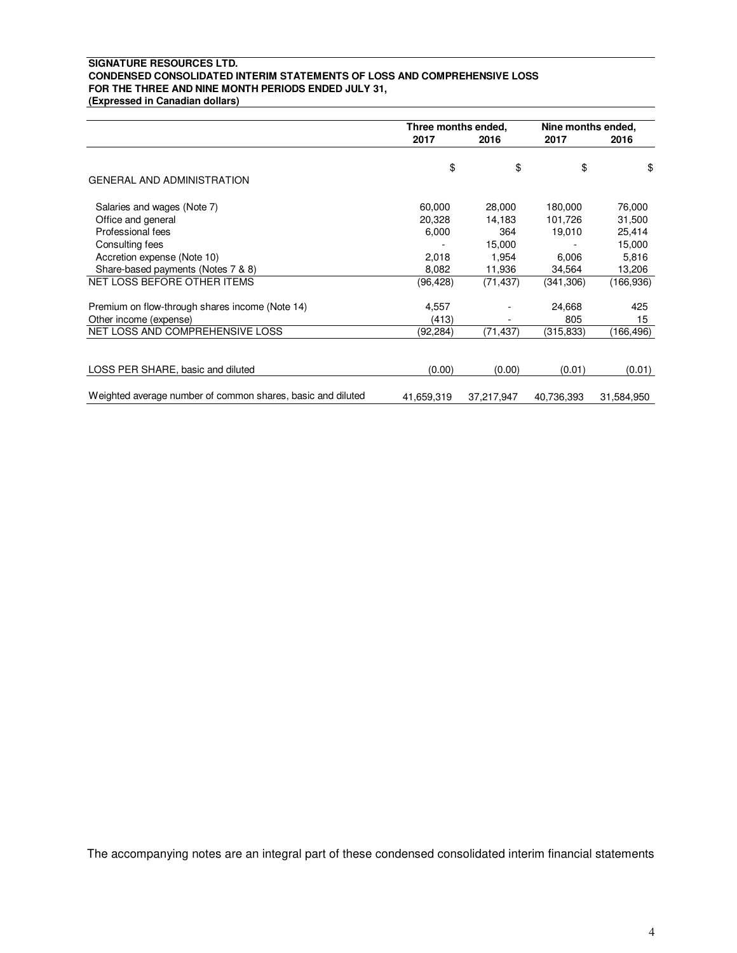### **SIGNATURE RESOURCES LTD. CONDENSED CONSOLIDATED INTERIM STATEMENTS OF LOSS AND COMPREHENSIVE LOSS FOR THE THREE AND NINE MONTH PERIODS ENDED JULY 31,**

**(Expressed in Canadian dollars)**

|                                                             | Three months ended, |            | Nine months ended, |            |
|-------------------------------------------------------------|---------------------|------------|--------------------|------------|
|                                                             | 2017<br>2016        |            | 2017               | 2016       |
|                                                             | \$                  | \$         | \$                 | \$         |
| <b>GENERAL AND ADMINISTRATION</b>                           |                     |            |                    |            |
| Salaries and wages (Note 7)                                 | 60,000              | 28,000     | 180,000            | 76,000     |
| Office and general                                          | 20,328              | 14,183     | 101,726            | 31,500     |
| Professional fees                                           | 6,000               | 364        | 19,010             | 25,414     |
| Consulting fees                                             |                     | 15,000     |                    | 15,000     |
| Accretion expense (Note 10)                                 | 2,018               | 1.954      | 6,006              | 5,816      |
| Share-based payments (Notes 7 & 8)                          | 8,082               | 11,936     | 34,564             | 13,206     |
| NET LOSS BEFORE OTHER ITEMS                                 | (96,428)            | (71, 437)  | (341, 306)         | (166, 936) |
| Premium on flow-through shares income (Note 14)             | 4,557               |            | 24,668             | 425        |
| Other income (expense)                                      | (413)               |            | 805                | 15         |
| NET LOSS AND COMPREHENSIVE LOSS                             | (92, 284)           | (71, 437)  | (315, 833)         | (166,496)  |
|                                                             |                     |            |                    |            |
| LOSS PER SHARE, basic and diluted                           | (0.00)              | (0.00)     | (0.01)             | (0.01)     |
| Weighted average number of common shares, basic and diluted | 41,659,319          | 37,217,947 | 40,736,393         | 31,584,950 |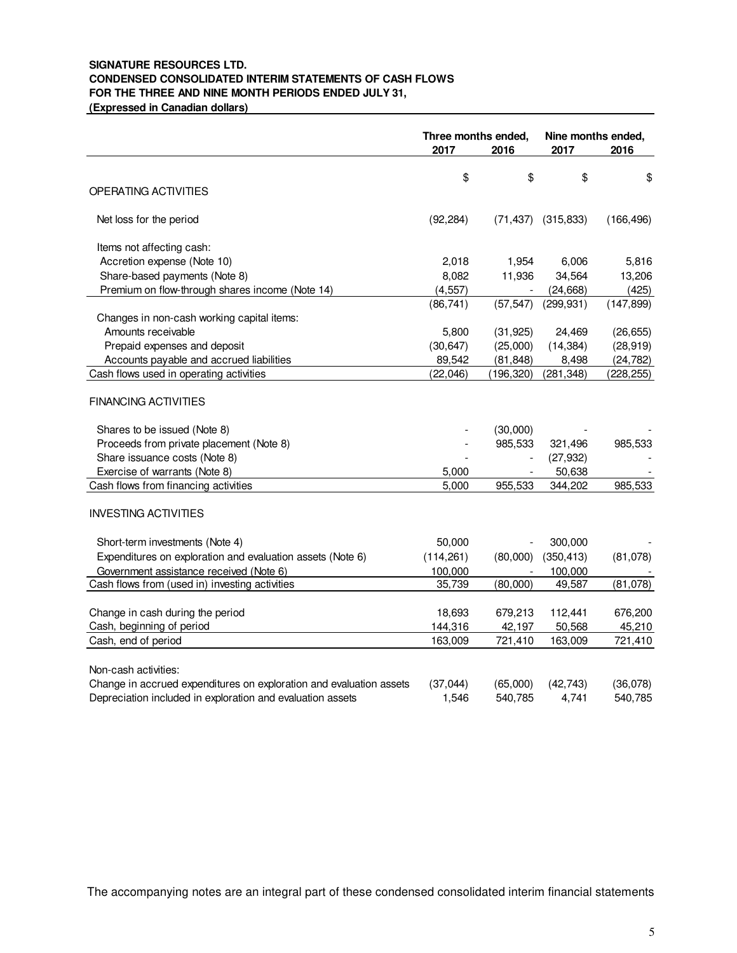## **SIGNATURE RESOURCES LTD. CONDENSED CONSOLIDATED INTERIM STATEMENTS OF CASH FLOWS FOR THE THREE AND NINE MONTH PERIODS ENDED JULY 31,**

**(Expressed in Canadian dollars)**

|                                                                     | Three months ended,<br>2017<br>2016 |           | Nine months ended,<br>2017 | 2016       |
|---------------------------------------------------------------------|-------------------------------------|-----------|----------------------------|------------|
|                                                                     |                                     |           |                            |            |
| OPERATING ACTIVITIES                                                | \$                                  | \$        | \$                         | \$         |
| Net loss for the period                                             | (92, 284)                           | (71, 437) | (315, 833)                 | (166, 496) |
| Items not affecting cash:                                           |                                     |           |                            |            |
| Accretion expense (Note 10)                                         | 2,018                               | 1,954     | 6,006                      | 5,816      |
| Share-based payments (Note 8)                                       | 8,082                               | 11,936    | 34,564                     | 13,206     |
| Premium on flow-through shares income (Note 14)                     | (4, 557)                            |           | (24, 668)                  | (425)      |
|                                                                     | (86, 741)                           | (57, 547) | (299, 931)                 | (147, 899) |
| Changes in non-cash working capital items:                          |                                     |           |                            |            |
| Amounts receivable                                                  | 5,800                               | (31, 925) | 24,469                     | (26, 655)  |
| Prepaid expenses and deposit                                        | (30, 647)                           | (25,000)  | (14, 384)                  | (28, 919)  |
| Accounts payable and accrued liabilities                            | 89,542                              | (81, 848) | 8,498                      | (24, 782)  |
| Cash flows used in operating activities                             | (22, 046)                           | (196,320) | (281, 348)                 | (228, 255) |
| <b>FINANCING ACTIVITIES</b>                                         |                                     |           |                            |            |
| Shares to be issued (Note 8)                                        |                                     | (30,000)  |                            |            |
| Proceeds from private placement (Note 8)                            |                                     | 985,533   | 321,496                    | 985,533    |
| Share issuance costs (Note 8)                                       |                                     |           | (27, 932)                  |            |
| Exercise of warrants (Note 8)                                       | 5,000                               |           | 50,638                     |            |
| Cash flows from financing activities                                | 5,000                               | 955,533   | 344,202                    | 985,533    |
| <b>INVESTING ACTIVITIES</b>                                         |                                     |           |                            |            |
| Short-term investments (Note 4)                                     | 50,000                              |           | 300,000                    |            |
| Expenditures on exploration and evaluation assets (Note 6)          | (114, 261)                          | (80,000)  | (350, 413)                 | (81,078)   |
| Government assistance received (Note 6)                             | 100,000                             |           | 100,000                    |            |
| Cash flows from (used in) investing activities                      | 35,739                              | (80,000)  | 49,587                     | (81,078)   |
|                                                                     |                                     |           |                            |            |
| Change in cash during the period                                    | 18,693                              | 679,213   | 112,441                    | 676,200    |
| Cash, beginning of period                                           | 144,316                             | 42,197    | 50,568                     | 45,210     |
| Cash, end of period                                                 | 163,009                             | 721,410   | 163,009                    | 721,410    |
| Non-cash activities:                                                |                                     |           |                            |            |
| Change in accrued expenditures on exploration and evaluation assets | (37, 044)                           | (65,000)  | (42, 743)                  | (36,078)   |
| Depreciation included in exploration and evaluation assets          | 1,546                               | 540,785   | 4,741                      | 540,785    |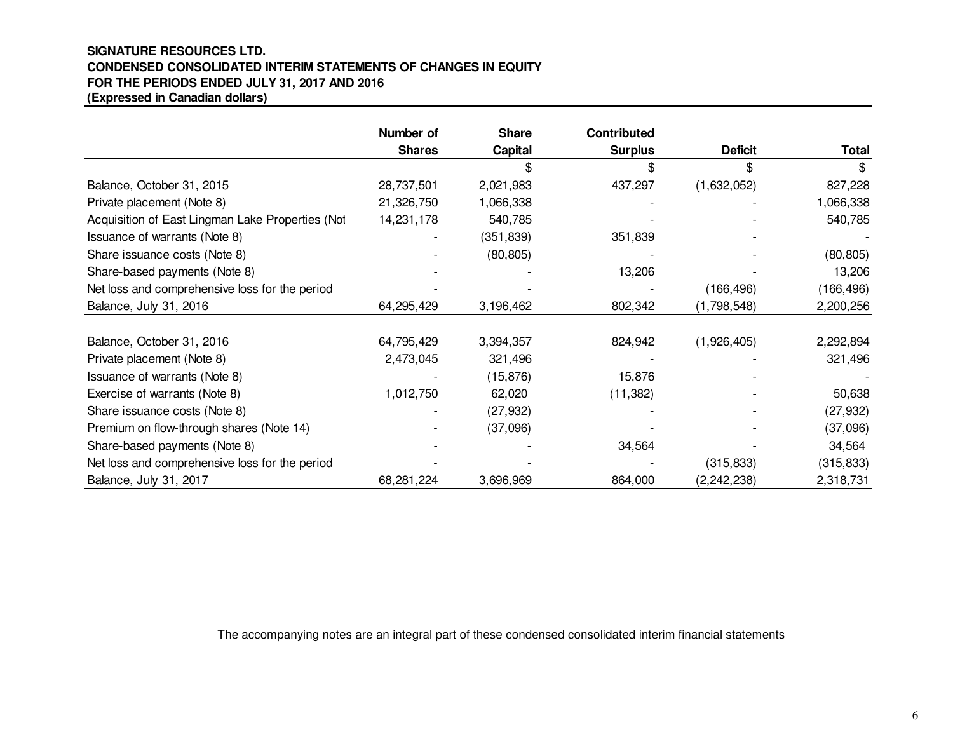### **SIGNATURE RESOURCES LTD. CONDENSED CONSOLIDATED INTERIM STATEMENTS OF CHANGES IN EQUITYFOR THE PERIODS ENDED JULY 31, 2017 AND 2016(Expressed in Canadian dollars)**

|                                                  | Number of     | <b>Share</b>   | <b>Contributed</b> |                |              |
|--------------------------------------------------|---------------|----------------|--------------------|----------------|--------------|
|                                                  | <b>Shares</b> | <b>Capital</b> | <b>Surplus</b>     | <b>Deficit</b> | <b>Total</b> |
|                                                  |               |                |                    |                |              |
| Balance, October 31, 2015                        | 28,737,501    | 2,021,983      | 437,297            | (1,632,052)    | 827,228      |
| Private placement (Note 8)                       | 21,326,750    | 1,066,338      |                    |                | 1,066,338    |
| Acquisition of East Lingman Lake Properties (Not | 14,231,178    | 540,785        |                    |                | 540,785      |
| Issuance of warrants (Note 8)                    |               | (351, 839)     | 351,839            |                |              |
| Share issuance costs (Note 8)                    |               | (80, 805)      |                    |                | (80, 805)    |
| Share-based payments (Note 8)                    |               |                | 13,206             |                | 13,206       |
| Net loss and comprehensive loss for the period   |               |                |                    | (166, 496)     | (166,496)    |
| Balance, July 31, 2016                           | 64,295,429    | 3,196,462      | 802,342            | (1,798,548)    | 2,200,256    |
|                                                  |               |                |                    |                |              |
| Balance, October 31, 2016                        | 64,795,429    | 3,394,357      | 824,942            | (1,926,405)    | 2,292,894    |
| Private placement (Note 8)                       | 2,473,045     | 321,496        |                    |                | 321,496      |
| Issuance of warrants (Note 8)                    |               | (15, 876)      | 15,876             |                |              |
| Exercise of warrants (Note 8)                    | 1,012,750     | 62,020         | (11, 382)          |                | 50,638       |
| Share issuance costs (Note 8)                    |               | (27, 932)      |                    |                | (27, 932)    |
| Premium on flow-through shares (Note 14)         |               | (37,096)       |                    |                | (37,096)     |
| Share-based payments (Note 8)                    |               |                | 34,564             |                | 34,564       |
| Net loss and comprehensive loss for the period   |               |                |                    | (315, 833)     | (315, 833)   |
| Balance, July 31, 2017                           | 68,281,224    | 3,696,969      | 864,000            | (2, 242, 238)  | 2,318,731    |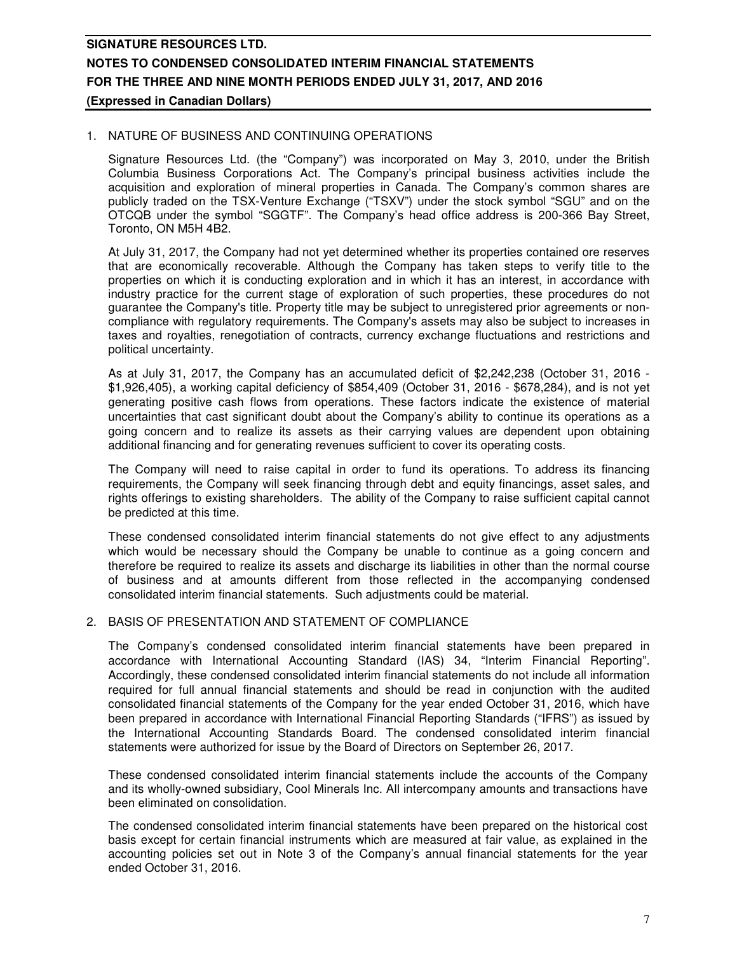### 1. NATURE OF BUSINESS AND CONTINUING OPERATIONS

Signature Resources Ltd. (the "Company") was incorporated on May 3, 2010, under the British Columbia Business Corporations Act. The Company's principal business activities include the acquisition and exploration of mineral properties in Canada. The Company's common shares are publicly traded on the TSX-Venture Exchange ("TSXV") under the stock symbol "SGU" and on the OTCQB under the symbol "SGGTF". The Company's head office address is 200-366 Bay Street, Toronto, ON M5H 4B2.

At July 31, 2017, the Company had not yet determined whether its properties contained ore reserves that are economically recoverable. Although the Company has taken steps to verify title to the properties on which it is conducting exploration and in which it has an interest, in accordance with industry practice for the current stage of exploration of such properties, these procedures do not guarantee the Company's title. Property title may be subject to unregistered prior agreements or noncompliance with regulatory requirements. The Company's assets may also be subject to increases in taxes and royalties, renegotiation of contracts, currency exchange fluctuations and restrictions and political uncertainty.

As at July 31, 2017, the Company has an accumulated deficit of \$2,242,238 (October 31, 2016 - \$1,926,405), a working capital deficiency of \$854,409 (October 31, 2016 - \$678,284), and is not yet generating positive cash flows from operations. These factors indicate the existence of material uncertainties that cast significant doubt about the Company's ability to continue its operations as a going concern and to realize its assets as their carrying values are dependent upon obtaining additional financing and for generating revenues sufficient to cover its operating costs.

The Company will need to raise capital in order to fund its operations. To address its financing requirements, the Company will seek financing through debt and equity financings, asset sales, and rights offerings to existing shareholders. The ability of the Company to raise sufficient capital cannot be predicted at this time.

These condensed consolidated interim financial statements do not give effect to any adjustments which would be necessary should the Company be unable to continue as a going concern and therefore be required to realize its assets and discharge its liabilities in other than the normal course of business and at amounts different from those reflected in the accompanying condensed consolidated interim financial statements. Such adjustments could be material.

### 2. BASIS OF PRESENTATION AND STATEMENT OF COMPLIANCE

The Company's condensed consolidated interim financial statements have been prepared in accordance with International Accounting Standard (IAS) 34, "Interim Financial Reporting". Accordingly, these condensed consolidated interim financial statements do not include all information required for full annual financial statements and should be read in conjunction with the audited consolidated financial statements of the Company for the year ended October 31, 2016, which have been prepared in accordance with International Financial Reporting Standards ("IFRS") as issued by the International Accounting Standards Board. The condensed consolidated interim financial statements were authorized for issue by the Board of Directors on September 26, 2017.

These condensed consolidated interim financial statements include the accounts of the Company and its wholly-owned subsidiary, Cool Minerals Inc. All intercompany amounts and transactions have been eliminated on consolidation.

The condensed consolidated interim financial statements have been prepared on the historical cost basis except for certain financial instruments which are measured at fair value, as explained in the accounting policies set out in Note 3 of the Company's annual financial statements for the year ended October 31, 2016.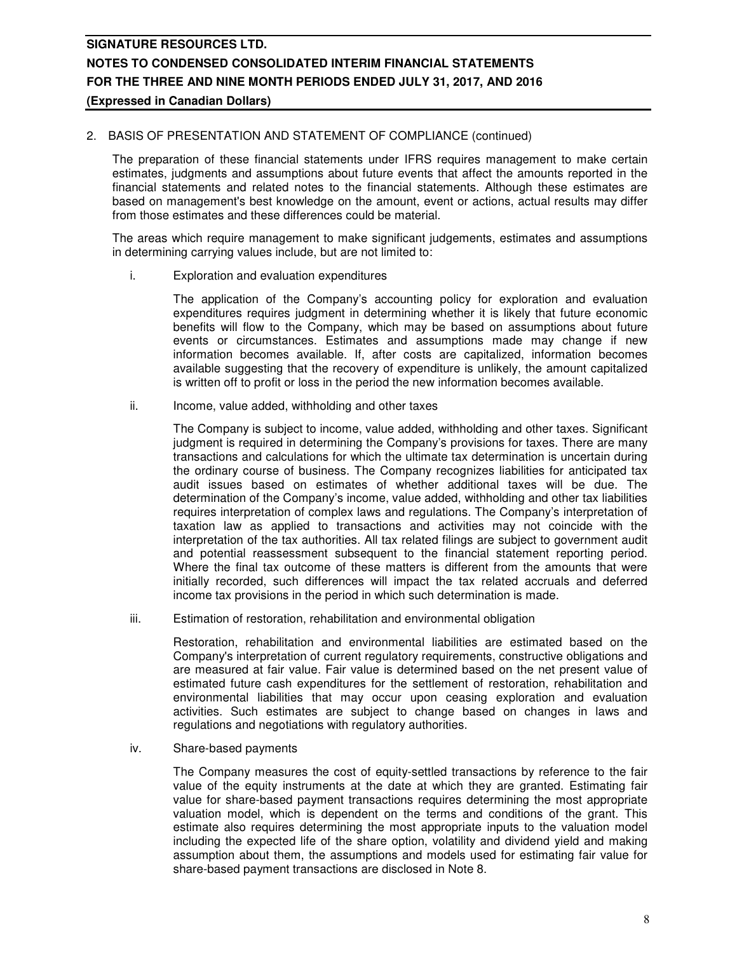### 2. BASIS OF PRESENTATION AND STATEMENT OF COMPLIANCE (continued)

The preparation of these financial statements under IFRS requires management to make certain estimates, judgments and assumptions about future events that affect the amounts reported in the financial statements and related notes to the financial statements. Although these estimates are based on management's best knowledge on the amount, event or actions, actual results may differ from those estimates and these differences could be material.

The areas which require management to make significant judgements, estimates and assumptions in determining carrying values include, but are not limited to:

i. Exploration and evaluation expenditures

The application of the Company's accounting policy for exploration and evaluation expenditures requires judgment in determining whether it is likely that future economic benefits will flow to the Company, which may be based on assumptions about future events or circumstances. Estimates and assumptions made may change if new information becomes available. If, after costs are capitalized, information becomes available suggesting that the recovery of expenditure is unlikely, the amount capitalized is written off to profit or loss in the period the new information becomes available.

ii. Income, value added, withholding and other taxes

The Company is subject to income, value added, withholding and other taxes. Significant judgment is required in determining the Company's provisions for taxes. There are many transactions and calculations for which the ultimate tax determination is uncertain during the ordinary course of business. The Company recognizes liabilities for anticipated tax audit issues based on estimates of whether additional taxes will be due. The determination of the Company's income, value added, withholding and other tax liabilities requires interpretation of complex laws and regulations. The Company's interpretation of taxation law as applied to transactions and activities may not coincide with the interpretation of the tax authorities. All tax related filings are subject to government audit and potential reassessment subsequent to the financial statement reporting period. Where the final tax outcome of these matters is different from the amounts that were initially recorded, such differences will impact the tax related accruals and deferred income tax provisions in the period in which such determination is made.

iii. Estimation of restoration, rehabilitation and environmental obligation

 Restoration, rehabilitation and environmental liabilities are estimated based on the Company's interpretation of current regulatory requirements, constructive obligations and are measured at fair value. Fair value is determined based on the net present value of estimated future cash expenditures for the settlement of restoration, rehabilitation and environmental liabilities that may occur upon ceasing exploration and evaluation activities. Such estimates are subject to change based on changes in laws and regulations and negotiations with regulatory authorities.

iv. Share-based payments

 The Company measures the cost of equity-settled transactions by reference to the fair value of the equity instruments at the date at which they are granted. Estimating fair value for share-based payment transactions requires determining the most appropriate valuation model, which is dependent on the terms and conditions of the grant. This estimate also requires determining the most appropriate inputs to the valuation model including the expected life of the share option, volatility and dividend yield and making assumption about them, the assumptions and models used for estimating fair value for share-based payment transactions are disclosed in Note 8.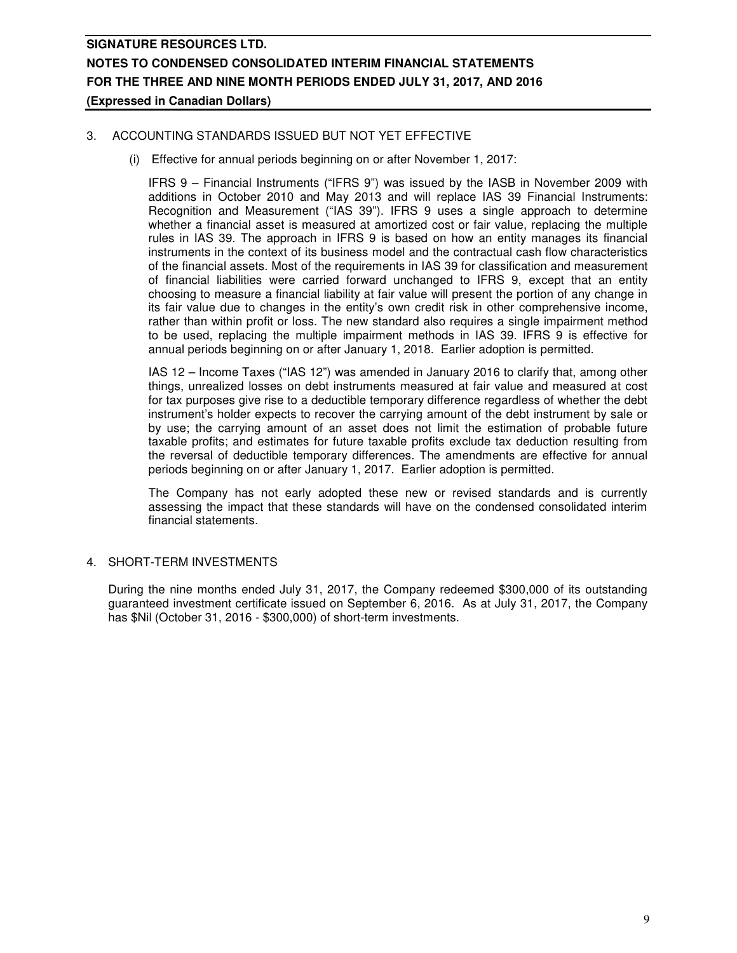### 3. ACCOUNTING STANDARDS ISSUED BUT NOT YET EFFECTIVE

(i) Effective for annual periods beginning on or after November 1, 2017:

IFRS 9 – Financial Instruments ("IFRS 9") was issued by the IASB in November 2009 with additions in October 2010 and May 2013 and will replace IAS 39 Financial Instruments: Recognition and Measurement ("IAS 39"). IFRS 9 uses a single approach to determine whether a financial asset is measured at amortized cost or fair value, replacing the multiple rules in IAS 39. The approach in IFRS 9 is based on how an entity manages its financial instruments in the context of its business model and the contractual cash flow characteristics of the financial assets. Most of the requirements in IAS 39 for classification and measurement of financial liabilities were carried forward unchanged to IFRS 9, except that an entity choosing to measure a financial liability at fair value will present the portion of any change in its fair value due to changes in the entity's own credit risk in other comprehensive income, rather than within profit or loss. The new standard also requires a single impairment method to be used, replacing the multiple impairment methods in IAS 39. IFRS 9 is effective for annual periods beginning on or after January 1, 2018. Earlier adoption is permitted.

IAS 12 – Income Taxes ("IAS 12") was amended in January 2016 to clarify that, among other things, unrealized losses on debt instruments measured at fair value and measured at cost for tax purposes give rise to a deductible temporary difference regardless of whether the debt instrument's holder expects to recover the carrying amount of the debt instrument by sale or by use; the carrying amount of an asset does not limit the estimation of probable future taxable profits; and estimates for future taxable profits exclude tax deduction resulting from the reversal of deductible temporary differences. The amendments are effective for annual periods beginning on or after January 1, 2017. Earlier adoption is permitted.

The Company has not early adopted these new or revised standards and is currently assessing the impact that these standards will have on the condensed consolidated interim financial statements.

### 4. SHORT-TERM INVESTMENTS

During the nine months ended July 31, 2017, the Company redeemed \$300,000 of its outstanding guaranteed investment certificate issued on September 6, 2016. As at July 31, 2017, the Company has \$Nil (October 31, 2016 - \$300,000) of short-term investments.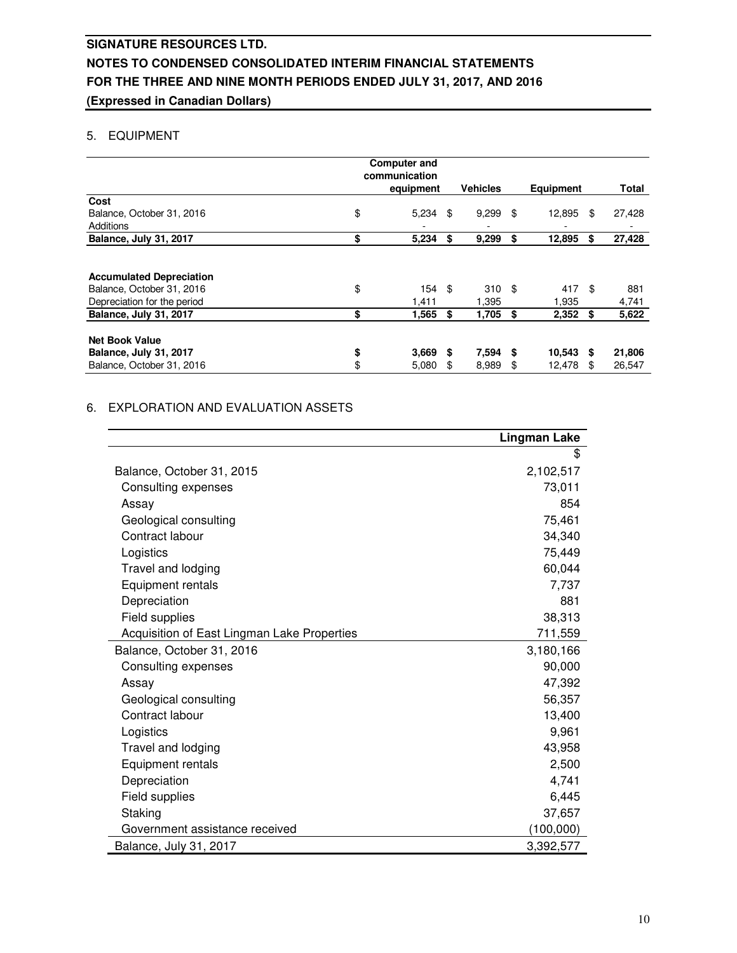## 5. EQUIPMENT

|                                        | <b>Computer and</b><br>communication<br>equipment |      | <b>Vehicles</b> |      | <b>Equipment</b>                   | Total        |
|----------------------------------------|---------------------------------------------------|------|-----------------|------|------------------------------------|--------------|
| Cost                                   |                                                   |      |                 |      |                                    |              |
| Balance, October 31, 2016<br>Additions | \$<br>5,234                                       | \$   | 9,299           | \$   | 12,895<br>$\overline{\phantom{0}}$ | \$<br>27,428 |
| <b>Balance, July 31, 2017</b>          | \$<br>5,234                                       | \$   | 9,299           | \$   | 12,895                             | \$<br>27,428 |
| <b>Accumulated Depreciation</b>        |                                                   |      |                 |      |                                    |              |
| Balance, October 31, 2016              | \$<br>154                                         | - \$ | $310*$          |      | 417 \$                             | 881          |
| Depreciation for the period            | 1.411                                             |      | 1,395           |      | 1,935                              | 4,741        |
| <b>Balance, July 31, 2017</b>          | \$<br>1,565                                       | \$   | 1,705           | - \$ | $2,352$ \$                         | 5,622        |
| <b>Net Book Value</b>                  |                                                   |      |                 |      |                                    |              |
| <b>Balance, July 31, 2017</b>          | \$<br>$3,669$ \$                                  |      | 7,594           | - \$ | $10,543$ \$                        | 21,806       |
| Balance, October 31, 2016              | \$<br>5,080                                       | \$   | 8,989           | \$   | 12,478                             | \$<br>26,547 |

### 6. EXPLORATION AND EVALUATION ASSETS

|                                             | <b>Lingman Lake</b> |
|---------------------------------------------|---------------------|
|                                             | \$                  |
| Balance, October 31, 2015                   | 2,102,517           |
| Consulting expenses                         | 73,011              |
| Assay                                       | 854                 |
| Geological consulting                       | 75,461              |
| Contract labour                             | 34,340              |
| Logistics                                   | 75,449              |
| Travel and lodging                          | 60,044              |
| Equipment rentals                           | 7,737               |
| Depreciation                                | 881                 |
| Field supplies                              | 38,313              |
| Acquisition of East Lingman Lake Properties | 711,559             |
| Balance, October 31, 2016                   | 3,180,166           |
| Consulting expenses                         | 90,000              |
| Assay                                       | 47,392              |
| Geological consulting                       | 56,357              |
| Contract labour                             | 13,400              |
| Logistics                                   | 9,961               |
| Travel and lodging                          | 43,958              |
| Equipment rentals                           | 2,500               |
| Depreciation                                | 4,741               |
| Field supplies                              | 6,445               |
| Staking                                     | 37,657              |
| Government assistance received              | (100,000)           |
| Balance, July 31, 2017                      | 3,392,577           |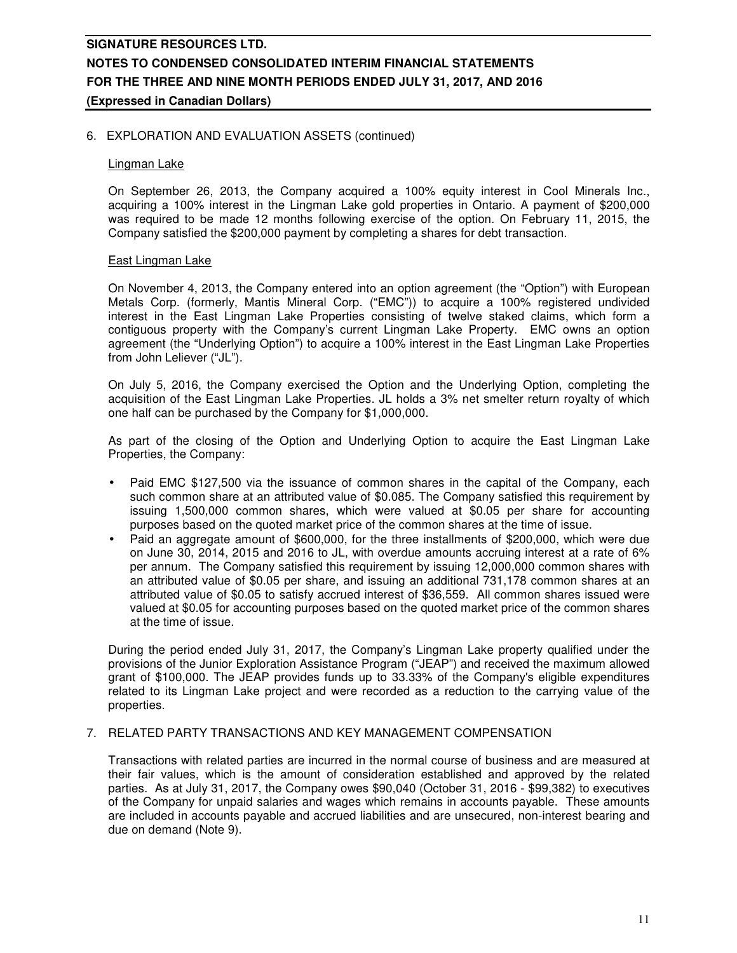### 6. EXPLORATION AND EVALUATION ASSETS (continued)

#### Lingman Lake

On September 26, 2013, the Company acquired a 100% equity interest in Cool Minerals Inc., acquiring a 100% interest in the Lingman Lake gold properties in Ontario. A payment of \$200,000 was required to be made 12 months following exercise of the option. On February 11, 2015, the Company satisfied the \$200,000 payment by completing a shares for debt transaction.

#### East Lingman Lake

On November 4, 2013, the Company entered into an option agreement (the "Option") with European Metals Corp. (formerly, Mantis Mineral Corp. ("EMC")) to acquire a 100% registered undivided interest in the East Lingman Lake Properties consisting of twelve staked claims, which form a contiguous property with the Company's current Lingman Lake Property. EMC owns an option agreement (the "Underlying Option") to acquire a 100% interest in the East Lingman Lake Properties from John Leliever ("JL").

On July 5, 2016, the Company exercised the Option and the Underlying Option, completing the acquisition of the East Lingman Lake Properties. JL holds a 3% net smelter return royalty of which one half can be purchased by the Company for \$1,000,000.

As part of the closing of the Option and Underlying Option to acquire the East Lingman Lake Properties, the Company:

- Paid EMC \$127,500 via the issuance of common shares in the capital of the Company, each such common share at an attributed value of \$0.085. The Company satisfied this requirement by issuing 1,500,000 common shares, which were valued at \$0.05 per share for accounting purposes based on the quoted market price of the common shares at the time of issue.
- Paid an aggregate amount of \$600,000, for the three installments of \$200,000, which were due on June 30, 2014, 2015 and 2016 to JL, with overdue amounts accruing interest at a rate of 6% per annum. The Company satisfied this requirement by issuing 12,000,000 common shares with an attributed value of \$0.05 per share, and issuing an additional 731,178 common shares at an attributed value of \$0.05 to satisfy accrued interest of \$36,559. All common shares issued were valued at \$0.05 for accounting purposes based on the quoted market price of the common shares at the time of issue.

During the period ended July 31, 2017, the Company's Lingman Lake property qualified under the provisions of the Junior Exploration Assistance Program ("JEAP") and received the maximum allowed grant of \$100,000. The JEAP provides funds up to 33.33% of the Company's eligible expenditures related to its Lingman Lake project and were recorded as a reduction to the carrying value of the properties.

#### 7. RELATED PARTY TRANSACTIONS AND KEY MANAGEMENT COMPENSATION

Transactions with related parties are incurred in the normal course of business and are measured at their fair values, which is the amount of consideration established and approved by the related parties. As at July 31, 2017, the Company owes \$90,040 (October 31, 2016 - \$99,382) to executives of the Company for unpaid salaries and wages which remains in accounts payable. These amounts are included in accounts payable and accrued liabilities and are unsecured, non-interest bearing and due on demand (Note 9).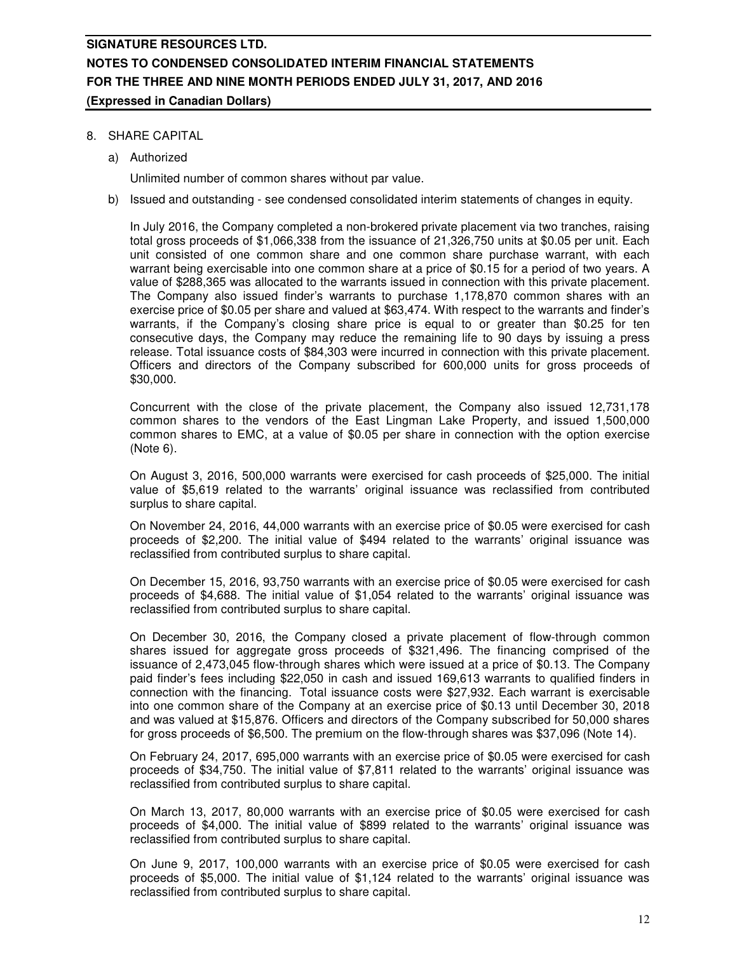### 8. SHARE CAPITAL

a) Authorized

Unlimited number of common shares without par value.

b) Issued and outstanding - see condensed consolidated interim statements of changes in equity.

In July 2016, the Company completed a non-brokered private placement via two tranches, raising total gross proceeds of \$1,066,338 from the issuance of 21,326,750 units at \$0.05 per unit. Each unit consisted of one common share and one common share purchase warrant, with each warrant being exercisable into one common share at a price of \$0.15 for a period of two years. A value of \$288,365 was allocated to the warrants issued in connection with this private placement. The Company also issued finder's warrants to purchase 1,178,870 common shares with an exercise price of \$0.05 per share and valued at \$63,474. With respect to the warrants and finder's warrants, if the Company's closing share price is equal to or greater than \$0.25 for ten consecutive days, the Company may reduce the remaining life to 90 days by issuing a press release. Total issuance costs of \$84,303 were incurred in connection with this private placement. Officers and directors of the Company subscribed for 600,000 units for gross proceeds of \$30,000.

Concurrent with the close of the private placement, the Company also issued 12,731,178 common shares to the vendors of the East Lingman Lake Property, and issued 1,500,000 common shares to EMC, at a value of \$0.05 per share in connection with the option exercise (Note 6).

On August 3, 2016, 500,000 warrants were exercised for cash proceeds of \$25,000. The initial value of \$5,619 related to the warrants' original issuance was reclassified from contributed surplus to share capital.

On November 24, 2016, 44,000 warrants with an exercise price of \$0.05 were exercised for cash proceeds of \$2,200. The initial value of \$494 related to the warrants' original issuance was reclassified from contributed surplus to share capital.

On December 15, 2016, 93,750 warrants with an exercise price of \$0.05 were exercised for cash proceeds of \$4,688. The initial value of \$1,054 related to the warrants' original issuance was reclassified from contributed surplus to share capital.

On December 30, 2016, the Company closed a private placement of flow-through common shares issued for aggregate gross proceeds of \$321,496. The financing comprised of the issuance of 2,473,045 flow-through shares which were issued at a price of \$0.13. The Company paid finder's fees including \$22,050 in cash and issued 169,613 warrants to qualified finders in connection with the financing. Total issuance costs were \$27,932. Each warrant is exercisable into one common share of the Company at an exercise price of \$0.13 until December 30, 2018 and was valued at \$15,876. Officers and directors of the Company subscribed for 50,000 shares for gross proceeds of \$6,500. The premium on the flow-through shares was \$37,096 (Note 14).

On February 24, 2017, 695,000 warrants with an exercise price of \$0.05 were exercised for cash proceeds of \$34,750. The initial value of \$7,811 related to the warrants' original issuance was reclassified from contributed surplus to share capital.

On March 13, 2017, 80,000 warrants with an exercise price of \$0.05 were exercised for cash proceeds of \$4,000. The initial value of \$899 related to the warrants' original issuance was reclassified from contributed surplus to share capital.

On June 9, 2017, 100,000 warrants with an exercise price of \$0.05 were exercised for cash proceeds of \$5,000. The initial value of \$1,124 related to the warrants' original issuance was reclassified from contributed surplus to share capital.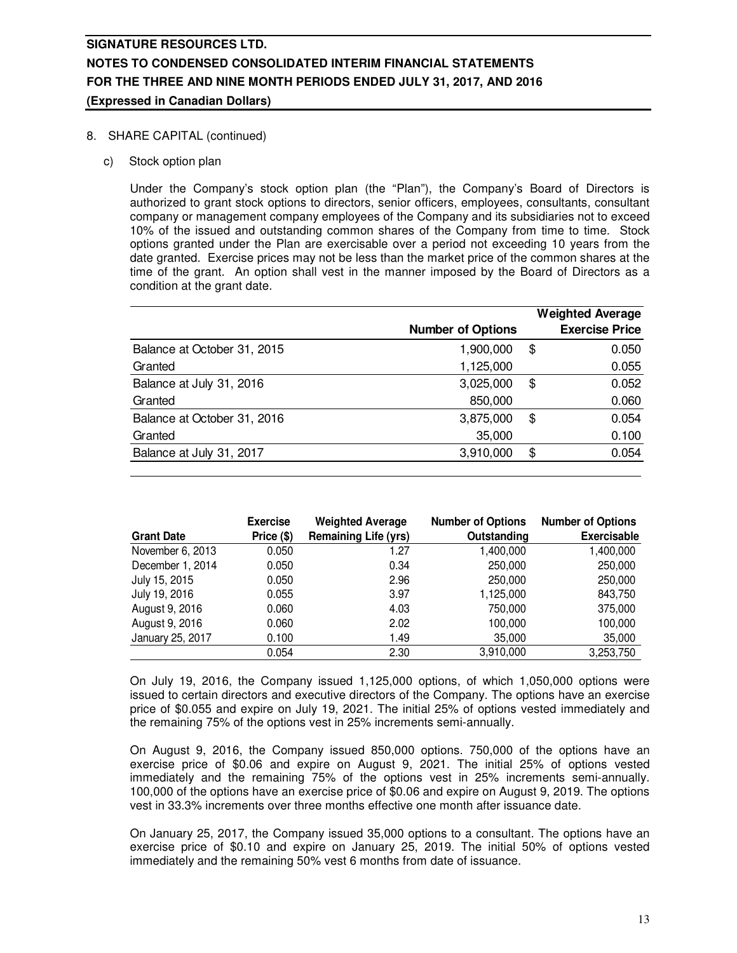### 8. SHARE CAPITAL (continued)

c) Stock option plan

Under the Company's stock option plan (the "Plan"), the Company's Board of Directors is authorized to grant stock options to directors, senior officers, employees, consultants, consultant company or management company employees of the Company and its subsidiaries not to exceed 10% of the issued and outstanding common shares of the Company from time to time. Stock options granted under the Plan are exercisable over a period not exceeding 10 years from the date granted. Exercise prices may not be less than the market price of the common shares at the time of the grant. An option shall vest in the manner imposed by the Board of Directors as a condition at the grant date.

|                             |                          | <b>Weighted Average</b> |
|-----------------------------|--------------------------|-------------------------|
|                             | <b>Number of Options</b> | <b>Exercise Price</b>   |
| Balance at October 31, 2015 | 1,900,000                | \$<br>0.050             |
| Granted                     | 1,125,000                | 0.055                   |
| Balance at July 31, 2016    | 3,025,000                | \$<br>0.052             |
| Granted                     | 850,000                  | 0.060                   |
| Balance at October 31, 2016 | 3,875,000                | \$<br>0.054             |
| Granted                     | 35,000                   | 0.100                   |
| Balance at July 31, 2017    | 3,910,000                | \$<br>0.054             |
|                             |                          |                         |

|                   | <b>Exercise</b> | <b>Weighted Average</b>     | <b>Number of Options</b> | <b>Number of Options</b> |
|-------------------|-----------------|-----------------------------|--------------------------|--------------------------|
| <b>Grant Date</b> | Price (\$)      | <b>Remaining Life (yrs)</b> | Outstanding              | <b>Exercisable</b>       |
| November 6, 2013  | 0.050           | 1.27                        | 1,400,000                | 1,400,000                |
| December 1, 2014  | 0.050           | 0.34                        | 250,000                  | 250,000                  |
| July 15, 2015     | 0.050           | 2.96                        | 250,000                  | 250,000                  |
| July 19, 2016     | 0.055           | 3.97                        | 1,125,000                | 843,750                  |
| August 9, 2016    | 0.060           | 4.03                        | 750,000                  | 375,000                  |
| August 9, 2016    | 0.060           | 2.02                        | 100,000                  | 100,000                  |
| January 25, 2017  | 0.100           | 1.49                        | 35,000                   | 35,000                   |
|                   | 0.054           | 2.30                        | 3,910,000                | 3,253,750                |

On July 19, 2016, the Company issued 1,125,000 options, of which 1,050,000 options were issued to certain directors and executive directors of the Company. The options have an exercise price of \$0.055 and expire on July 19, 2021. The initial 25% of options vested immediately and the remaining 75% of the options vest in 25% increments semi-annually.

On August 9, 2016, the Company issued 850,000 options. 750,000 of the options have an exercise price of \$0.06 and expire on August 9, 2021. The initial 25% of options vested immediately and the remaining 75% of the options vest in 25% increments semi-annually. 100,000 of the options have an exercise price of \$0.06 and expire on August 9, 2019. The options vest in 33.3% increments over three months effective one month after issuance date.

On January 25, 2017, the Company issued 35,000 options to a consultant. The options have an exercise price of \$0.10 and expire on January 25, 2019. The initial 50% of options vested immediately and the remaining 50% vest 6 months from date of issuance.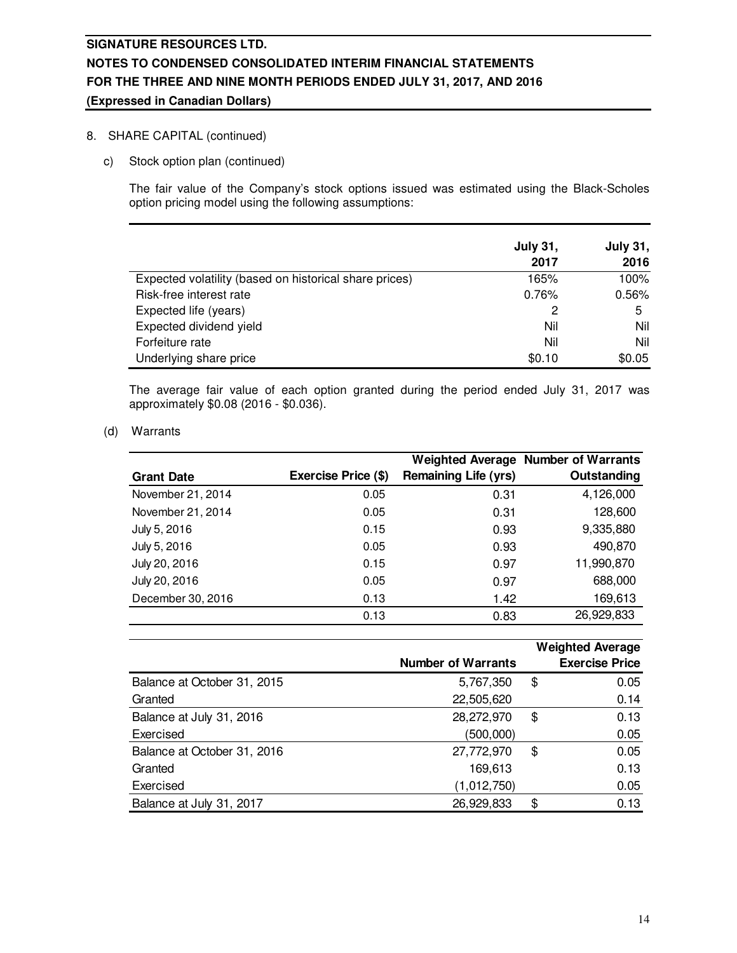### 8. SHARE CAPITAL (continued)

c) Stock option plan (continued)

The fair value of the Company's stock options issued was estimated using the Black-Scholes option pricing model using the following assumptions:

|                                                        | <b>July 31,</b> | <b>July 31,</b> |
|--------------------------------------------------------|-----------------|-----------------|
|                                                        | 2017            | 2016            |
| Expected volatility (based on historical share prices) | 165%            | 100%            |
| Risk-free interest rate                                | 0.76%           | 0.56%           |
| Expected life (years)                                  |                 | 5               |
| Expected dividend yield                                | Nil             | Nil             |
| Forfeiture rate                                        | Nil             | Nil             |
| Underlying share price                                 | \$0.10          | \$0.05          |

The average fair value of each option granted during the period ended July 31, 2017 was approximately \$0.08 (2016 - \$0.036).

(d) Warrants

|                   |                     |                             | <b>Weighted Average Number of Warrants</b> |
|-------------------|---------------------|-----------------------------|--------------------------------------------|
| <b>Grant Date</b> | Exercise Price (\$) | <b>Remaining Life (yrs)</b> | Outstanding                                |
| November 21, 2014 | 0.05                | 0.31                        | 4,126,000                                  |
| November 21, 2014 | 0.05                | 0.31                        | 128,600                                    |
| July 5, 2016      | 0.15                | 0.93                        | 9,335,880                                  |
| July 5, 2016      | 0.05                | 0.93                        | 490,870                                    |
| July 20, 2016     | 0.15                | 0.97                        | 11,990,870                                 |
| July 20, 2016     | 0.05                | 0.97                        | 688,000                                    |
| December 30, 2016 | 0.13                | 1.42                        | 169,613                                    |
|                   | 0.13                | 0.83                        | 26,929,833                                 |

|                             |                           | <b>Weighted Average</b> |
|-----------------------------|---------------------------|-------------------------|
|                             | <b>Number of Warrants</b> | <b>Exercise Price</b>   |
| Balance at October 31, 2015 | 5,767,350                 | \$<br>0.05              |
| Granted                     | 22,505,620                | 0.14                    |
| Balance at July 31, 2016    | 28,272,970                | \$<br>0.13              |
| Exercised                   | (500,000)                 | 0.05                    |
| Balance at October 31, 2016 | 27,772,970                | \$<br>0.05              |
| Granted                     | 169,613                   | 0.13                    |
| Exercised                   | (1,012,750)               | 0.05                    |
| Balance at July 31, 2017    | 26,929,833                | \$<br>0.13              |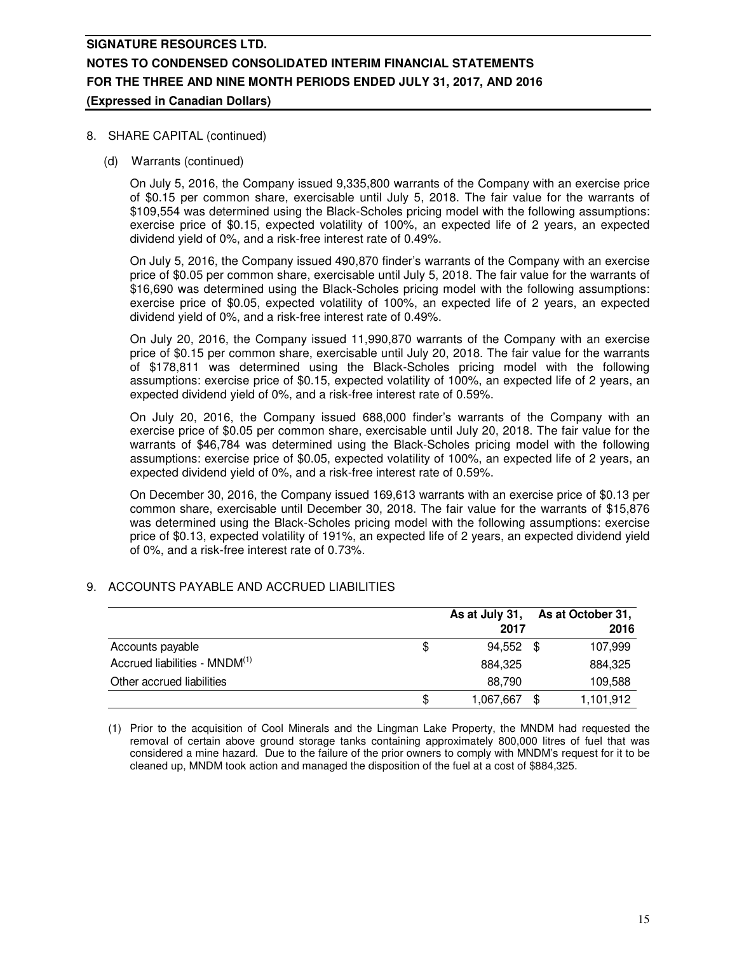### 8. SHARE CAPITAL (continued)

(d) Warrants (continued)

On July 5, 2016, the Company issued 9,335,800 warrants of the Company with an exercise price of \$0.15 per common share, exercisable until July 5, 2018. The fair value for the warrants of \$109,554 was determined using the Black-Scholes pricing model with the following assumptions: exercise price of \$0.15, expected volatility of 100%, an expected life of 2 years, an expected dividend yield of 0%, and a risk-free interest rate of 0.49%.

On July 5, 2016, the Company issued 490,870 finder's warrants of the Company with an exercise price of \$0.05 per common share, exercisable until July 5, 2018. The fair value for the warrants of \$16,690 was determined using the Black-Scholes pricing model with the following assumptions: exercise price of \$0.05, expected volatility of 100%, an expected life of 2 years, an expected dividend yield of 0%, and a risk-free interest rate of 0.49%.

On July 20, 2016, the Company issued 11,990,870 warrants of the Company with an exercise price of \$0.15 per common share, exercisable until July 20, 2018. The fair value for the warrants of \$178,811 was determined using the Black-Scholes pricing model with the following assumptions: exercise price of \$0.15, expected volatility of 100%, an expected life of 2 years, an expected dividend yield of 0%, and a risk-free interest rate of 0.59%.

On July 20, 2016, the Company issued 688,000 finder's warrants of the Company with an exercise price of \$0.05 per common share, exercisable until July 20, 2018. The fair value for the warrants of \$46,784 was determined using the Black-Scholes pricing model with the following assumptions: exercise price of \$0.05, expected volatility of 100%, an expected life of 2 years, an expected dividend yield of 0%, and a risk-free interest rate of 0.59%.

On December 30, 2016, the Company issued 169,613 warrants with an exercise price of \$0.13 per common share, exercisable until December 30, 2018. The fair value for the warrants of \$15,876 was determined using the Black-Scholes pricing model with the following assumptions: exercise price of \$0.13, expected volatility of 191%, an expected life of 2 years, an expected dividend yield of 0%, and a risk-free interest rate of 0.73%.

### 9. ACCOUNTS PAYABLE AND ACCRUED LIABILITIES

|                                           | As at July 31,  | As at October 31, |
|-------------------------------------------|-----------------|-------------------|
|                                           | 2017            | 2016              |
| Accounts payable                          | \$<br>94.552 \$ | 107,999           |
| Accrued liabilities - MNDM <sup>(1)</sup> | 884.325         | 884,325           |
| Other accrued liabilities                 | 88.790          | 109,588           |
|                                           | \$<br>1,067,667 | 1,101,912         |

(1) Prior to the acquisition of Cool Minerals and the Lingman Lake Property, the MNDM had requested the removal of certain above ground storage tanks containing approximately 800,000 litres of fuel that was considered a mine hazard. Due to the failure of the prior owners to comply with MNDM's request for it to be cleaned up, MNDM took action and managed the disposition of the fuel at a cost of \$884,325.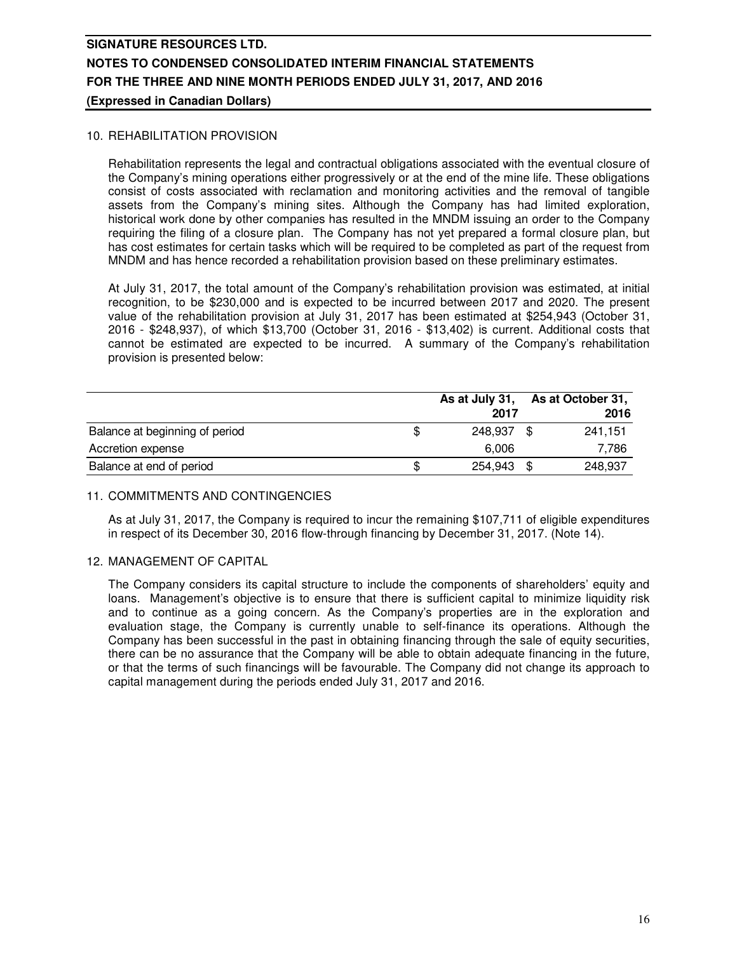### 10. REHABILITATION PROVISION

Rehabilitation represents the legal and contractual obligations associated with the eventual closure of the Company's mining operations either progressively or at the end of the mine life. These obligations consist of costs associated with reclamation and monitoring activities and the removal of tangible assets from the Company's mining sites. Although the Company has had limited exploration, historical work done by other companies has resulted in the MNDM issuing an order to the Company requiring the filing of a closure plan. The Company has not yet prepared a formal closure plan, but has cost estimates for certain tasks which will be required to be completed as part of the request from MNDM and has hence recorded a rehabilitation provision based on these preliminary estimates.

At July 31, 2017, the total amount of the Company's rehabilitation provision was estimated, at initial recognition, to be \$230,000 and is expected to be incurred between 2017 and 2020. The present value of the rehabilitation provision at July 31, 2017 has been estimated at \$254,943 (October 31, 2016 - \$248,937), of which \$13,700 (October 31, 2016 - \$13,402) is current. Additional costs that cannot be estimated are expected to be incurred. A summary of the Company's rehabilitation provision is presented below:

|                                | As at July 31, | As at October 31, |  |
|--------------------------------|----------------|-------------------|--|
|                                | 2017           | 2016              |  |
| Balance at beginning of period | 248,937        | 241.151<br>- \$   |  |
| Accretion expense              | 6.006          | 7.786             |  |
| Balance at end of period       | 254.943 \$     | 248.937           |  |

#### 11. COMMITMENTS AND CONTINGENCIES

As at July 31, 2017, the Company is required to incur the remaining \$107,711 of eligible expenditures in respect of its December 30, 2016 flow-through financing by December 31, 2017. (Note 14).

#### 12. MANAGEMENT OF CAPITAL

The Company considers its capital structure to include the components of shareholders' equity and loans. Management's objective is to ensure that there is sufficient capital to minimize liquidity risk and to continue as a going concern. As the Company's properties are in the exploration and evaluation stage, the Company is currently unable to self-finance its operations. Although the Company has been successful in the past in obtaining financing through the sale of equity securities, there can be no assurance that the Company will be able to obtain adequate financing in the future, or that the terms of such financings will be favourable. The Company did not change its approach to capital management during the periods ended July 31, 2017 and 2016.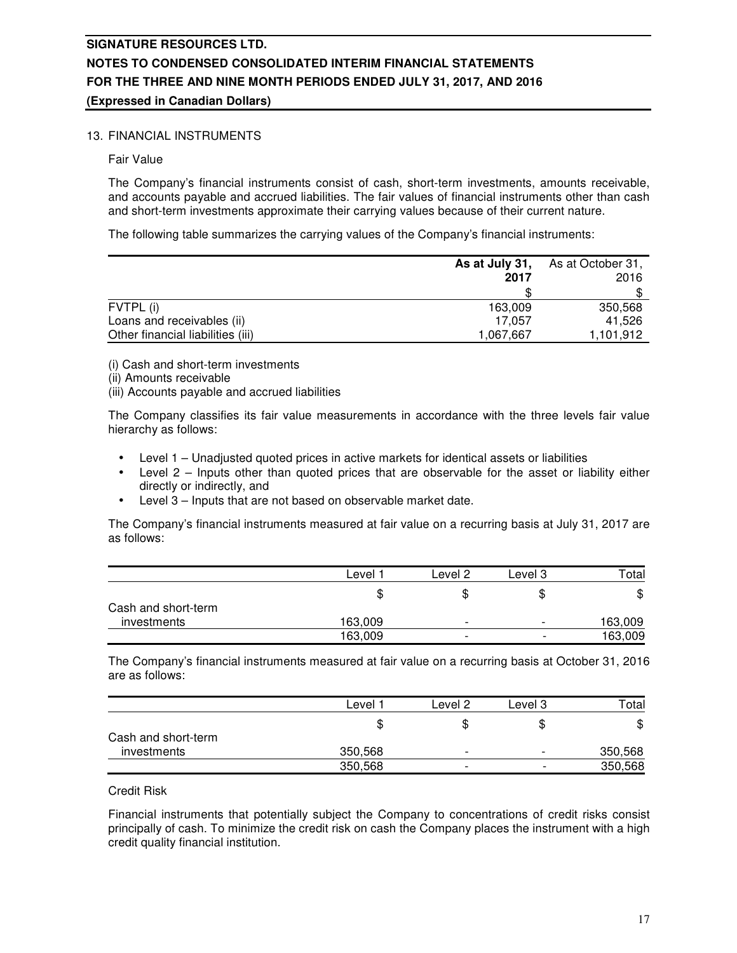### 13. FINANCIAL INSTRUMENTS

Fair Value

The Company's financial instruments consist of cash, short-term investments, amounts receivable, and accounts payable and accrued liabilities. The fair values of financial instruments other than cash and short-term investments approximate their carrying values because of their current nature.

The following table summarizes the carrying values of the Company's financial instruments:

|                                   | As at July 31,<br>2017 | As at October 31,<br>2016 |
|-----------------------------------|------------------------|---------------------------|
|                                   |                        |                           |
| FVTPL (i)                         | 163,009                | 350,568                   |
| Loans and receivables (ii)        | 17.057                 | 41.526                    |
| Other financial liabilities (iii) | 1,067,667              | 1,101,912                 |

(i) Cash and short-term investments

- (ii) Amounts receivable
- (iii) Accounts payable and accrued liabilities

The Company classifies its fair value measurements in accordance with the three levels fair value hierarchy as follows:

- Level 1 Unadjusted quoted prices in active markets for identical assets or liabilities
- Level  $2$  Inputs other than quoted prices that are observable for the asset or liability either directly or indirectly, and
- Level 3 Inputs that are not based on observable market date.

The Company's financial instruments measured at fair value on a recurring basis at July 31, 2017 are as follows:

|                     | ∟evel   | Level 2                  | Level 3                  | Total   |
|---------------------|---------|--------------------------|--------------------------|---------|
|                     | Œ       |                          | æ                        | \$      |
| Cash and short-term |         |                          |                          |         |
| investments         | 163,009 | $\overline{\phantom{0}}$ | $\overline{\phantom{0}}$ | 163,009 |
|                     | 163,009 | $\overline{\phantom{0}}$ | $\overline{\phantom{0}}$ | 163,009 |

The Company's financial instruments measured at fair value on a recurring basis at October 31, 2016 are as follows:

|                     | Level   | Level 2                  | Level 3                  | $\tau$ otal |
|---------------------|---------|--------------------------|--------------------------|-------------|
|                     | Œ       |                          | \$                       | \$          |
| Cash and short-term |         |                          |                          |             |
| investments         | 350,568 | $\overline{\phantom{0}}$ | $\overline{\phantom{0}}$ | 350,568     |
|                     | 350,568 | $\overline{\phantom{0}}$ | $\overline{\phantom{0}}$ | 350,568     |

#### Credit Risk

Financial instruments that potentially subject the Company to concentrations of credit risks consist principally of cash. To minimize the credit risk on cash the Company places the instrument with a high credit quality financial institution.